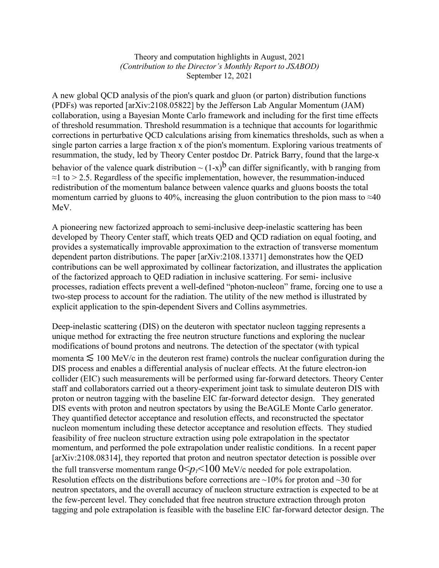## Theory and computation highlights in August, 2021 *(Contribution to the Director's Monthly Report to JSABOD)* September 12, 2021

A new global QCD analysis of the pion's quark and gluon (or parton) distribution functions (PDFs) was reported [arXiv:2108.05822] by the Jefferson Lab Angular Momentum (JAM) collaboration, using a Bayesian Monte Carlo framework and including for the first time effects of threshold resummation. Threshold resummation is a technique that accounts for logarithmic corrections in perturbative QCD calculations arising from kinematics thresholds, such as when a single parton carries a large fraction x of the pion's momentum. Exploring various treatments of resummation, the study, led by Theory Center postdoc Dr. Patrick Barry, found that the large-x behavior of the valence quark distribution  $\sim (1-x)^b$  can differ significantly, with b ranging from  $\approx$ 1 to > 2.5. Regardless of the specific implementation, however, the resummation-induced redistribution of the momentum balance between valence quarks and gluons boosts the total momentum carried by gluons to 40%, increasing the gluon contribution to the pion mass to  $\approx 40$ 

MeV.

A pioneering new factorized approach to semi-inclusive deep-inelastic scattering has been developed by Theory Center staff, which treats QED and QCD radiation on equal footing, and provides a systematically improvable approximation to the extraction of transverse momentum dependent parton distributions. The paper [arXiv:2108.13371] demonstrates how the QED contributions can be well approximated by collinear factorization, and illustrates the application of the factorized approach to QED radiation in inclusive scattering. For semi- inclusive processes, radiation effects prevent a well-defined "photon-nucleon" frame, forcing one to use a two-step process to account for the radiation. The utility of the new method is illustrated by explicit application to the spin-dependent Sivers and Collins asymmetries.

Deep-inelastic scattering (DIS) on the deuteron with spectator nucleon tagging represents a unique method for extracting the free neutron structure functions and exploring the nuclear modifications of bound protons and neutrons. The detection of the spectator (with typical momenta  $\lesssim 100$  MeV/c in the deuteron rest frame) controls the nuclear configuration during the DIS process and enables a differential analysis of nuclear effects. At the future electron-ion collider (EIC) such measurements will be performed using far-forward detectors. Theory Center staff and collaborators carried out a theory-experiment joint task to simulate deuteron DIS with proton or neutron tagging with the baseline EIC far-forward detector design. They generated DIS events with proton and neutron spectators by using the BeAGLE Monte Carlo generator. They quantified detector acceptance and resolution effects, and reconstructed the spectator nucleon momentum including these detector acceptance and resolution effects. They studied feasibility of free nucleon structure extraction using pole extrapolation in the spectator momentum, and performed the pole extrapolation under realistic conditions. In a recent paper [arXiv:2108.08314], they reported that proton and neutron spectator detection is possible over the full transverse momentum range  $0 \le p \le 100$  MeV/c needed for pole extrapolation. Resolution effects on the distributions before corrections are  $\sim$ 10% for proton and  $\sim$ 30 for neutron spectators, and the overall accuracy of nucleon structure extraction is expected to be at the few-percent level. They concluded that free neutron structure extraction through proton tagging and pole extrapolation is feasible with the baseline EIC far-forward detector design. The